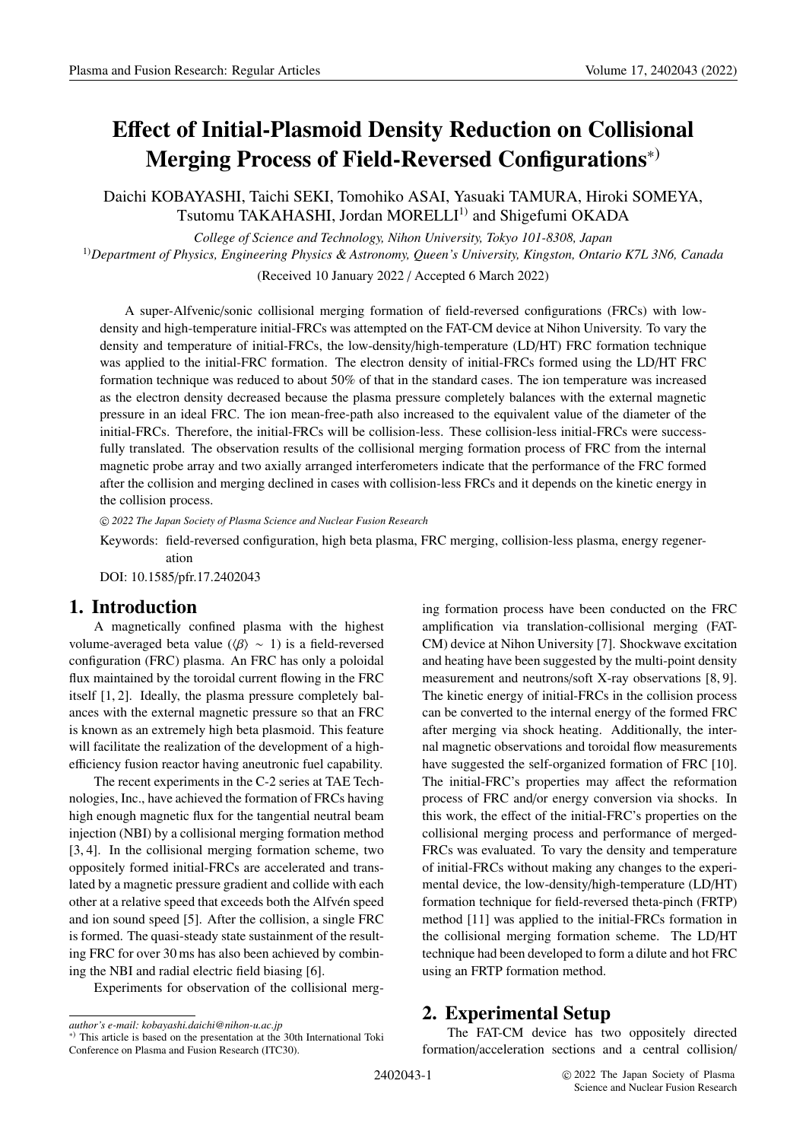# **E**ff**ect of Initial-Plasmoid Density Reduction on Collisional Merging Process of Field-Reversed Configurations**∗)

Daichi KOBAYASHI, Taichi SEKI, Tomohiko ASAI, Yasuaki TAMURA, Hiroki SOMEYA, Tsutomu TAKAHASHI, Jordan MORELLI<sup>1)</sup> and Shigefumi OKADA

*College of Science and Technology, Nihon University, Tokyo 101-8308, Japan* 1)*Department of Physics, Engineering Physics* & *Astronomy, Queen's University, Kingston, Ontario K7L 3N6, Canada*

(Received 10 January 2022 / Accepted 6 March 2022)

A super-Alfvenic/sonic collisional merging formation of field-reversed configurations (FRCs) with lowdensity and high-temperature initial-FRCs was attempted on the FAT-CM device at Nihon University. To vary the density and temperature of initial-FRCs, the low-density/high-temperature (LD/HT) FRC formation technique was applied to the initial-FRC formation. The electron density of initial-FRCs formed using the LD/HT FRC formation technique was reduced to about 50% of that in the standard cases. The ion temperature was increased as the electron density decreased because the plasma pressure completely balances with the external magnetic pressure in an ideal FRC. The ion mean-free-path also increased to the equivalent value of the diameter of the initial-FRCs. Therefore, the initial-FRCs will be collision-less. These collision-less initial-FRCs were successfully translated. The observation results of the collisional merging formation process of FRC from the internal magnetic probe array and two axially arranged interferometers indicate that the performance of the FRC formed after the collision and merging declined in cases with collision-less FRCs and it depends on the kinetic energy in the collision process.

c *2022 The Japan Society of Plasma Science and Nuclear Fusion Research*

Keywords: field-reversed configuration, high beta plasma, FRC merging, collision-less plasma, energy regeneration

DOI: 10.1585/pfr.17.2402043

## **1. Introduction**

A magnetically confined plasma with the highest volume-averaged beta value ( $\langle \beta \rangle \sim 1$ ) is a field-reversed configuration (FRC) plasma. An FRC has only a poloidal flux maintained by the toroidal current flowing in the FRC itself [1, 2]. Ideally, the plasma pressure completely balances with the external magnetic pressure so that an FRC is known as an extremely high beta plasmoid. This feature will facilitate the realization of the development of a highefficiency fusion reactor having aneutronic fuel capability.

The recent experiments in the C-2 series at TAE Technologies, Inc., have achieved the formation of FRCs having high enough magnetic flux for the tangential neutral beam injection (NBI) by a collisional merging formation method [3, 4]. In the collisional merging formation scheme, two oppositely formed initial-FRCs are accelerated and translated by a magnetic pressure gradient and collide with each other at a relative speed that exceeds both the Alfvén speed and ion sound speed [5]. After the collision, a single FRC is formed. The quasi-steady state sustainment of the resulting FRC for over 30 ms has also been achieved by combining the NBI and radial electric field biasing [6].

Experiments for observation of the collisional merg-

ing formation process have been conducted on the FRC amplification via translation-collisional merging (FAT-CM) device at Nihon University [7]. Shockwave excitation and heating have been suggested by the multi-point density measurement and neutrons/soft X-ray observations [8, 9]. The kinetic energy of initial-FRCs in the collision process can be converted to the internal energy of the formed FRC after merging via shock heating. Additionally, the internal magnetic observations and toroidal flow measurements have suggested the self-organized formation of FRC [10]. The initial-FRC's properties may affect the reformation process of FRC and/or energy conversion via shocks. In this work, the effect of the initial-FRC's properties on the collisional merging process and performance of merged-FRCs was evaluated. To vary the density and temperature of initial-FRCs without making any changes to the experimental device, the low-density/high-temperature (LD/HT) formation technique for field-reversed theta-pinch (FRTP) method [11] was applied to the initial-FRCs formation in the collisional merging formation scheme. The LD/HT technique had been developed to form a dilute and hot FRC using an FRTP formation method.

# **2. Experimental Setup**

The FAT-CM device has two oppositely directed formation/acceleration sections and a central collision/

*author's e-mail: kobayashi.daichi@nihon-u.ac.jp*

<sup>∗</sup>) This article is based on the presentation at the 30th International Toki Conference on Plasma and Fusion Research (ITC30).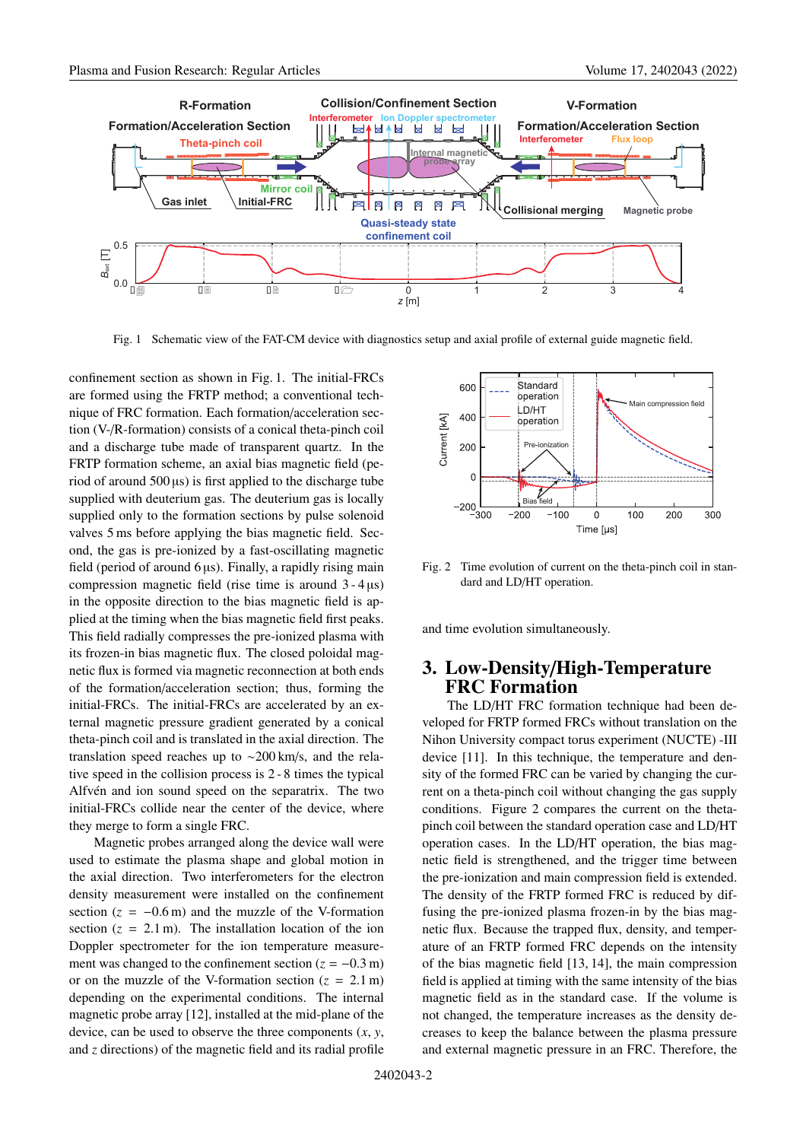

Fig. 1 Schematic view of the FAT-CM device with diagnostics setup and axial profile of external guide magnetic field.

confinement section as shown in Fig. 1. The initial-FRCs are formed using the FRTP method; a conventional technique of FRC formation. Each formation/acceleration section (V-/R-formation) consists of a conical theta-pinch coil and a discharge tube made of transparent quartz. In the FRTP formation scheme, an axial bias magnetic field (period of around  $500 \,\mu s$ ) is first applied to the discharge tube supplied with deuterium gas. The deuterium gas is locally supplied only to the formation sections by pulse solenoid valves 5 ms before applying the bias magnetic field. Second, the gas is pre-ionized by a fast-oscillating magnetic field (period of around  $6 \mu s$ ). Finally, a rapidly rising main compression magnetic field (rise time is around 3 - 4 µs) in the opposite direction to the bias magnetic field is applied at the timing when the bias magnetic field first peaks. This field radially compresses the pre-ionized plasma with its frozen-in bias magnetic flux. The closed poloidal magnetic flux is formed via magnetic reconnection at both ends of the formation/acceleration section; thus, forming the initial-FRCs. The initial-FRCs are accelerated by an external magnetic pressure gradient generated by a conical theta-pinch coil and is translated in the axial direction. The translation speed reaches up to ∼200 km/s, and the relative speed in the collision process is 2 - 8 times the typical Alfvén and ion sound speed on the separatrix. The two initial-FRCs collide near the center of the device, where they merge to form a single FRC.

Magnetic probes arranged along the device wall were used to estimate the plasma shape and global motion in the axial direction. Two interferometers for the electron density measurement were installed on the confinement section  $(z = -0.6 \text{ m})$  and the muzzle of the V-formation section  $(z = 2.1 \text{ m})$ . The installation location of the ion Doppler spectrometer for the ion temperature measurement was changed to the confinement section  $(z = -0.3 \text{ m})$ or on the muzzle of the V-formation section  $(z = 2.1 \text{ m})$ depending on the experimental conditions. The internal magnetic probe array [12], installed at the mid-plane of the device, can be used to observe the three components (*x*, *y*, and *z* directions) of the magnetic field and its radial profile



Fig. 2 Time evolution of current on the theta-pinch coil in standard and LD/HT operation.

and time evolution simultaneously.

## **3. Low-Density**/**High-Temperature FRC Formation**

The LD/HT FRC formation technique had been developed for FRTP formed FRCs without translation on the Nihon University compact torus experiment (NUCTE) -III device [11]. In this technique, the temperature and density of the formed FRC can be varied by changing the current on a theta-pinch coil without changing the gas supply conditions. Figure 2 compares the current on the thetapinch coil between the standard operation case and LD/HT operation cases. In the LD/HT operation, the bias magnetic field is strengthened, and the trigger time between the pre-ionization and main compression field is extended. The density of the FRTP formed FRC is reduced by diffusing the pre-ionized plasma frozen-in by the bias magnetic flux. Because the trapped flux, density, and temperature of an FRTP formed FRC depends on the intensity of the bias magnetic field [13, 14], the main compression field is applied at timing with the same intensity of the bias magnetic field as in the standard case. If the volume is not changed, the temperature increases as the density decreases to keep the balance between the plasma pressure and external magnetic pressure in an FRC. Therefore, the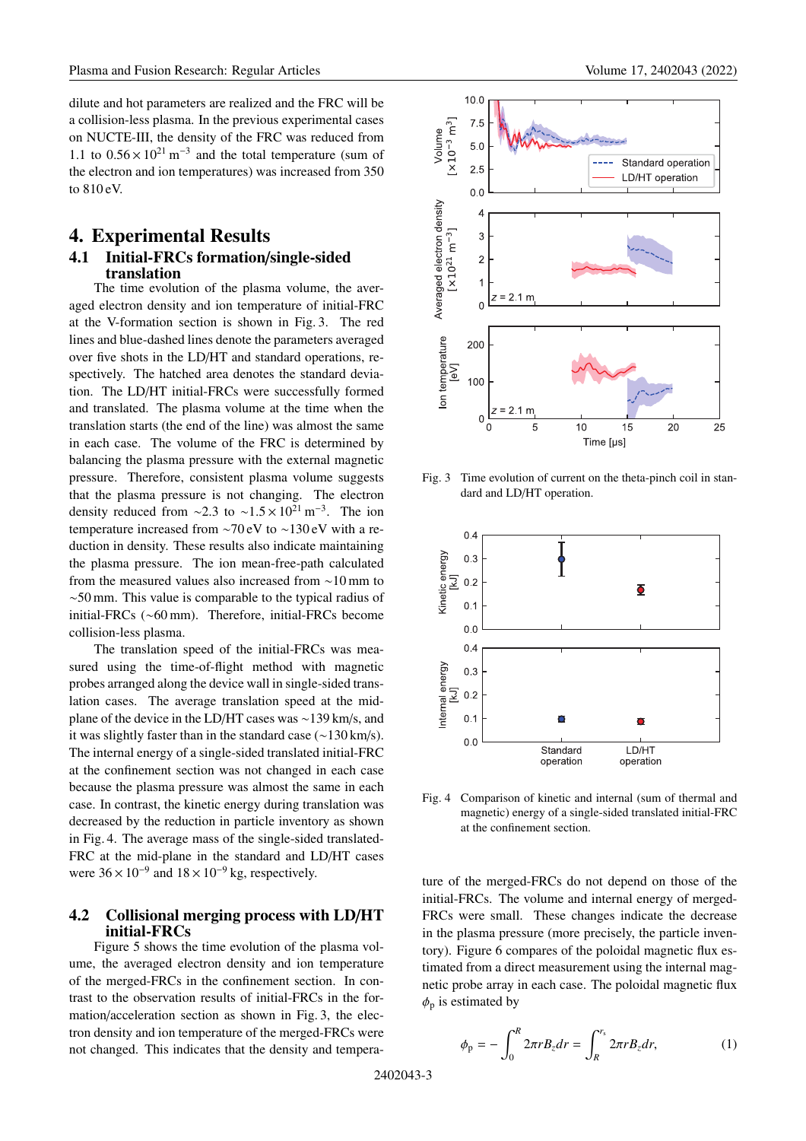dilute and hot parameters are realized and the FRC will be a collision-less plasma. In the previous experimental cases on NUCTE-III, the density of the FRC was reduced from 1.1 to  $0.56 \times 10^{21}$  m<sup>-3</sup> and the total temperature (sum of the electron and ion temperatures) was increased from 350 to 810 eV.

### **4. Experimental Results**

#### **4.1 Initial-FRCs formation**/**single-sided translation**

The time evolution of the plasma volume, the averaged electron density and ion temperature of initial-FRC at the V-formation section is shown in Fig. 3. The red lines and blue-dashed lines denote the parameters averaged over five shots in the LD/HT and standard operations, respectively. The hatched area denotes the standard deviation. The LD/HT initial-FRCs were successfully formed and translated. The plasma volume at the time when the translation starts (the end of the line) was almost the same in each case. The volume of the FRC is determined by balancing the plasma pressure with the external magnetic pressure. Therefore, consistent plasma volume suggests that the plasma pressure is not changing. The electron density reduced from ∼2.3 to ~1.5 × 10<sup>21</sup> m<sup>-3</sup>. The ion temperature increased from ∼70 eV to ∼130 eV with a reduction in density. These results also indicate maintaining the plasma pressure. The ion mean-free-path calculated from the measured values also increased from ∼10 mm to ∼50 mm. This value is comparable to the typical radius of initial-FRCs (∼60 mm). Therefore, initial-FRCs become collision-less plasma.

The translation speed of the initial-FRCs was measured using the time-of-flight method with magnetic probes arranged along the device wall in single-sided translation cases. The average translation speed at the midplane of the device in the LD/HT cases was ∼139 km/s, and it was slightly faster than in the standard case (∼130 km/s). The internal energy of a single-sided translated initial-FRC at the confinement section was not changed in each case because the plasma pressure was almost the same in each case. In contrast, the kinetic energy during translation was decreased by the reduction in particle inventory as shown in Fig. 4. The average mass of the single-sided translated-FRC at the mid-plane in the standard and LD/HT cases were  $36 \times 10^{-9}$  and  $18 \times 10^{-9}$  kg, respectively.

#### **4.2 Collisional merging process with LD**/**HT initial-FRCs**

Figure 5 shows the time evolution of the plasma volume, the averaged electron density and ion temperature of the merged-FRCs in the confinement section. In contrast to the observation results of initial-FRCs in the formation/acceleration section as shown in Fig. 3, the electron density and ion temperature of the merged-FRCs were not changed. This indicates that the density and tempera-



Fig. 3 Time evolution of current on the theta-pinch coil in standard and LD/HT operation.



Fig. 4 Comparison of kinetic and internal (sum of thermal and magnetic) energy of a single-sided translated initial-FRC at the confinement section.

ture of the merged-FRCs do not depend on those of the initial-FRCs. The volume and internal energy of merged-FRCs were small. These changes indicate the decrease in the plasma pressure (more precisely, the particle inventory). Figure 6 compares of the poloidal magnetic flux estimated from a direct measurement using the internal magnetic probe array in each case. The poloidal magnetic flux  $\phi_p$  is estimated by

$$
\phi_{\rm p} = -\int_0^R 2\pi r B_z dr = \int_R^{r_s} 2\pi r B_z dr, \qquad (1)
$$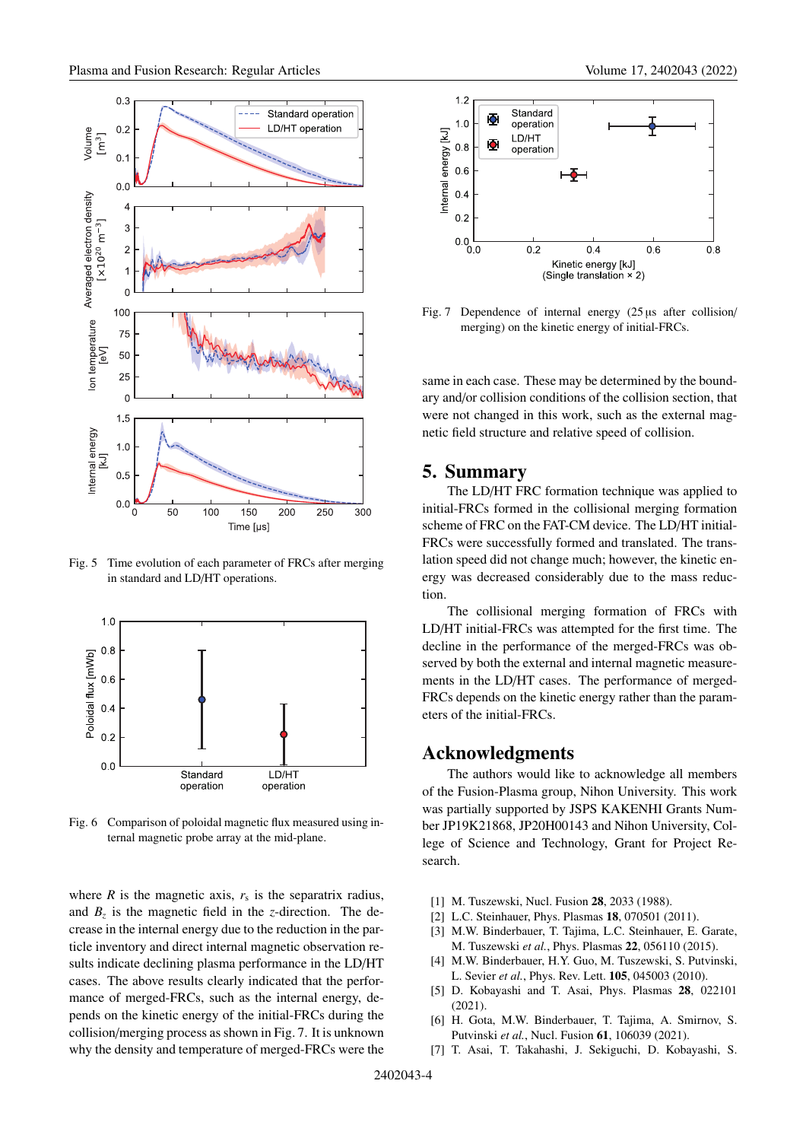

Fig. 5 Time evolution of each parameter of FRCs after merging in standard and LD/HT operations.



Fig. 6 Comparison of poloidal magnetic flux measured using internal magnetic probe array at the mid-plane.

where  $R$  is the magnetic axis,  $r_s$  is the separatrix radius, and  $B_7$  is the magnetic field in the *z*-direction. The decrease in the internal energy due to the reduction in the particle inventory and direct internal magnetic observation results indicate declining plasma performance in the LD/HT cases. The above results clearly indicated that the performance of merged-FRCs, such as the internal energy, depends on the kinetic energy of the initial-FRCs during the collision/merging process as shown in Fig. 7. It is unknown why the density and temperature of merged-FRCs were the



Fig. 7 Dependence of internal energy (25 µs after collision/ merging) on the kinetic energy of initial-FRCs.

same in each case. These may be determined by the boundary and/or collision conditions of the collision section, that were not changed in this work, such as the external magnetic field structure and relative speed of collision.

## **5. Summary**

The LD/HT FRC formation technique was applied to initial-FRCs formed in the collisional merging formation scheme of FRC on the FAT-CM device. The LD/HT initial-FRCs were successfully formed and translated. The translation speed did not change much; however, the kinetic energy was decreased considerably due to the mass reduction.

The collisional merging formation of FRCs with LD/HT initial-FRCs was attempted for the first time. The decline in the performance of the merged-FRCs was observed by both the external and internal magnetic measurements in the LD/HT cases. The performance of merged-FRCs depends on the kinetic energy rather than the parameters of the initial-FRCs.

## **Acknowledgments**

The authors would like to acknowledge all members of the Fusion-Plasma group, Nihon University. This work was partially supported by JSPS KAKENHI Grants Number JP19K21868, JP20H00143 and Nihon University, College of Science and Technology, Grant for Project Research.

- [1] M. Tuszewski, Nucl. Fusion **28**, 2033 (1988).
- [2] L.C. Steinhauer, Phys. Plasmas **18**, 070501 (2011).
- [3] M.W. Binderbauer, T. Tajima, L.C. Steinhauer, E. Garate, M. Tuszewski *et al.*, Phys. Plasmas **22**, 056110 (2015).
- [4] M.W. Binderbauer, H.Y. Guo, M. Tuszewski, S. Putvinski, L. Sevier *et al.*, Phys. Rev. Lett. **105**, 045003 (2010).
- [5] D. Kobayashi and T. Asai, Phys. Plasmas **28**, 022101 (2021).
- [6] H. Gota, M.W. Binderbauer, T. Tajima, A. Smirnov, S. Putvinski *et al.*, Nucl. Fusion **61**, 106039 (2021).
- [7] T. Asai, T. Takahashi, J. Sekiguchi, D. Kobayashi, S.